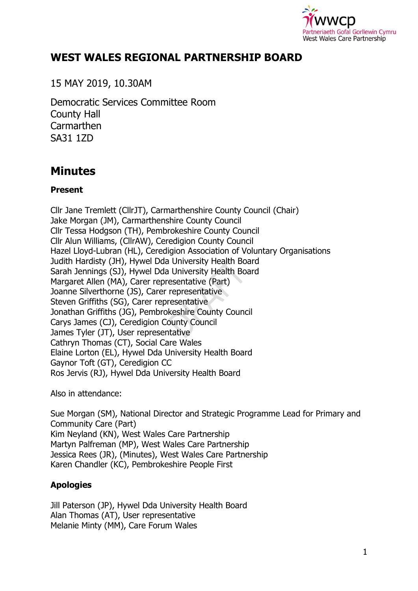

## **WEST WALES REGIONAL PARTNERSHIP BOARD**

15 MAY 2019, 10.30AM

Democratic Services Committee Room County Hall **Carmarthen** SA31 1ZD

# **Minutes**

## **Present**

Cllr Jane Tremlett (CllrJT), Carmarthenshire County Council (Chair) Jake Morgan (JM), Carmarthenshire County Council Cllr Tessa Hodgson (TH), Pembrokeshire County Council Cllr Alun Williams, (CllrAW), Ceredigion County Council Hazel Lloyd-Lubran (HL), Ceredigion Association of Voluntary Organisations Judith Hardisty (JH), Hywel Dda University Health Board Sarah Jennings (SJ), Hywel Dda University Health Board Margaret Allen (MA), Carer representative (Part) Joanne Silverthorne (JS), Carer representative Steven Griffiths (SG), Carer representative Jonathan Griffiths (JG), Pembrokeshire County Council Carys James (CJ), Ceredigion County Council James Tyler (JT), User representative Cathryn Thomas (CT), Social Care Wales Elaine Lorton (EL), Hywel Dda University Health Board Gaynor Toft (GT), Ceredigion CC Ros Jervis (RJ), Hywel Dda University Health Board

Also in attendance:

Sue Morgan (SM), National Director and Strategic Programme Lead for Primary and Community Care (Part) Kim Neyland (KN), West Wales Care Partnership Martyn Palfreman (MP), West Wales Care Partnership Jessica Rees (JR), (Minutes), West Wales Care Partnership Karen Chandler (KC), Pembrokeshire People First

## **Apologies**

Jill Paterson (JP), Hywel Dda University Health Board Alan Thomas (AT), User representative Melanie Minty (MM), Care Forum Wales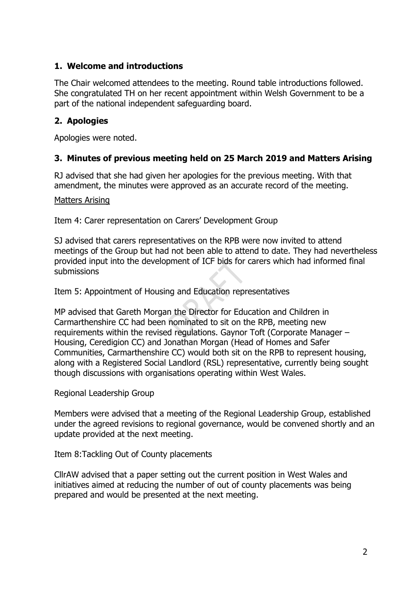## **1. Welcome and introductions**

The Chair welcomed attendees to the meeting. Round table introductions followed. She congratulated TH on her recent appointment within Welsh Government to be a part of the national independent safeguarding board.

## **2. Apologies**

Apologies were noted.

## **3. Minutes of previous meeting held on 25 March 2019 and Matters Arising**

RJ advised that she had given her apologies for the previous meeting. With that amendment, the minutes were approved as an accurate record of the meeting.

#### Matters Arising

Item 4: Carer representation on Carers' Development Group

SJ advised that carers representatives on the RPB were now invited to attend meetings of the Group but had not been able to attend to date. They had nevertheless provided input into the development of ICF bids for carers which had informed final submissions

Item 5: Appointment of Housing and Education representatives

MP advised that Gareth Morgan the Director for Education and Children in Carmarthenshire CC had been nominated to sit on the RPB, meeting new requirements within the revised regulations. Gaynor Toft (Corporate Manager – Housing, Ceredigion CC) and Jonathan Morgan (Head of Homes and Safer Communities, Carmarthenshire CC) would both sit on the RPB to represent housing, along with a Registered Social Landlord (RSL) representative, currently being sought though discussions with organisations operating within West Wales.

Regional Leadership Group

Members were advised that a meeting of the Regional Leadership Group, established under the agreed revisions to regional governance, would be convened shortly and an update provided at the next meeting.

Item 8:Tackling Out of County placements

CllrAW advised that a paper setting out the current position in West Wales and initiatives aimed at reducing the number of out of county placements was being prepared and would be presented at the next meeting.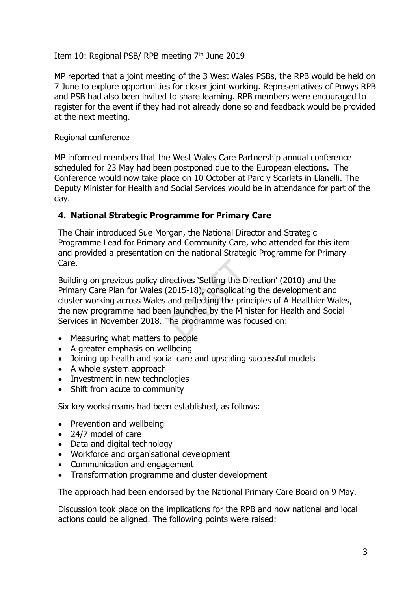#### Item 10: Regional PSB/ RPB meeting  $7<sup>th</sup>$  June 2019

MP reported that a joint meeting of the 3 West Wales PSBs, the RPB would be held on 7 June to explore opportunities for closer joint working. Representatives of Powys RPB and PSB had also been invited to share learning. RPB members were encouraged to register for the event if they had not already done so and feedback would be provided at the next meeting.

#### Regional conference

MP informed members that the West Wales Care Partnership annual conference scheduled for 23 May had been postponed due to the European elections. The Conference would now take place on 10 October at Parc y Scarlets in Llanelli. The Deputy Minister for Health and Social Services would be in attendance for part of the day.

#### **4. National Strategic Programme for Primary Care**

The Chair introduced Sue Morgan, the National Director and Strategic Programme Lead for Primary and Community Care, who attended for this item and provided a presentation on the national Strategic Programme for Primary Care.

Building on previous policy directives 'Setting the Direction' (2010) and the Primary Care Plan for Wales (2015-18), consolidating the development and cluster working across Wales and reflecting the principles of A Healthier Wales, the new programme had been launched by the Minister for Health and Social Services in November 2018. The programme was focused on:

- Measuring what matters to people
- A greater emphasis on wellbeing
- Joining up health and social care and upscaling successful models
- A whole system approach
- Investment in new technologies
- Shift from acute to community

Six key workstreams had been established, as follows:

- Prevention and wellbeing
- 24/7 model of care
- Data and digital technology
- Workforce and organisational development
- Communication and engagement
- Transformation programme and cluster development

The approach had been endorsed by the National Primary Care Board on 9 May.

Discussion took place on the implications for the RPB and how national and local actions could be aligned. The following points were raised: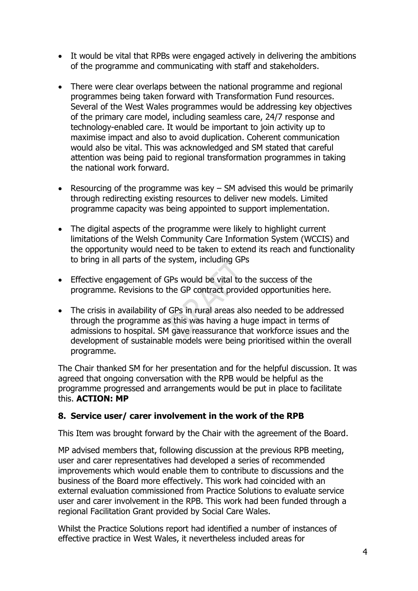- It would be vital that RPBs were engaged actively in delivering the ambitions of the programme and communicating with staff and stakeholders.
- There were clear overlaps between the national programme and regional programmes being taken forward with Transformation Fund resources. Several of the West Wales programmes would be addressing key objectives of the primary care model, including seamless care, 24/7 response and technology-enabled care. It would be important to join activity up to maximise impact and also to avoid duplication. Coherent communication would also be vital. This was acknowledged and SM stated that careful attention was being paid to regional transformation programmes in taking the national work forward.
- Resourcing of the programme was key SM advised this would be primarily through redirecting existing resources to deliver new models. Limited programme capacity was being appointed to support implementation.
- The digital aspects of the programme were likely to highlight current limitations of the Welsh Community Care Information System (WCCIS) and the opportunity would need to be taken to extend its reach and functionality to bring in all parts of the system, including GPs
- Effective engagement of GPs would be vital to the success of the programme. Revisions to the GP contract provided opportunities here.
- The crisis in availability of GPs in rural areas also needed to be addressed through the programme as this was having a huge impact in terms of admissions to hospital. SM gave reassurance that workforce issues and the development of sustainable models were being prioritised within the overall programme.

The Chair thanked SM for her presentation and for the helpful discussion. It was agreed that ongoing conversation with the RPB would be helpful as the programme progressed and arrangements would be put in place to facilitate this. **ACTION: MP**

#### **8. Service user/ carer involvement in the work of the RPB**

This Item was brought forward by the Chair with the agreement of the Board.

MP advised members that, following discussion at the previous RPB meeting, user and carer representatives had developed a series of recommended improvements which would enable them to contribute to discussions and the business of the Board more effectively. This work had coincided with an external evaluation commissioned from Practice Solutions to evaluate service user and carer involvement in the RPB. This work had been funded through a regional Facilitation Grant provided by Social Care Wales.

Whilst the Practice Solutions report had identified a number of instances of effective practice in West Wales, it nevertheless included areas for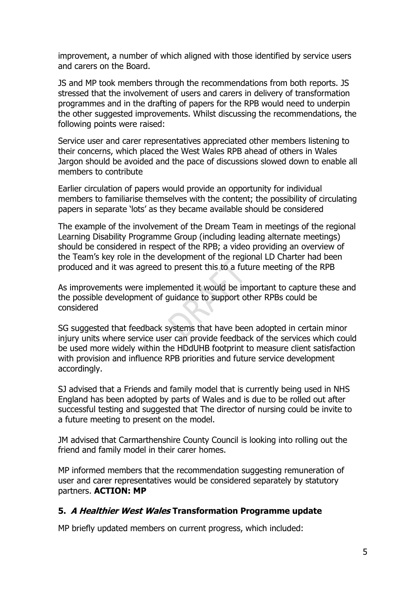improvement, a number of which aligned with those identified by service users and carers on the Board.

JS and MP took members through the recommendations from both reports. JS stressed that the involvement of users and carers in delivery of transformation programmes and in the drafting of papers for the RPB would need to underpin the other suggested improvements. Whilst discussing the recommendations, the following points were raised:

Service user and carer representatives appreciated other members listening to their concerns, which placed the West Wales RPB ahead of others in Wales Jargon should be avoided and the pace of discussions slowed down to enable all members to contribute

Earlier circulation of papers would provide an opportunity for individual members to familiarise themselves with the content; the possibility of circulating papers in separate 'lots' as they became available should be considered

The example of the involvement of the Dream Team in meetings of the regional Learning Disability Programme Group (including leading alternate meetings) should be considered in respect of the RPB; a video providing an overview of the Team's key role in the development of the regional LD Charter had been produced and it was agreed to present this to a future meeting of the RPB

As improvements were implemented it would be important to capture these and the possible development of guidance to support other RPBs could be considered

SG suggested that feedback systems that have been adopted in certain minor injury units where service user can provide feedback of the services which could be used more widely within the HDdUHB footprint to measure client satisfaction with provision and influence RPB priorities and future service development accordingly.

SJ advised that a Friends and family model that is currently being used in NHS England has been adopted by parts of Wales and is due to be rolled out after successful testing and suggested that The director of nursing could be invite to a future meeting to present on the model.

JM advised that Carmarthenshire County Council is looking into rolling out the friend and family model in their carer homes.

MP informed members that the recommendation suggesting remuneration of user and carer representatives would be considered separately by statutory partners. **ACTION: MP**

#### **5. A Healthier West Wales Transformation Programme update**

MP briefly updated members on current progress, which included: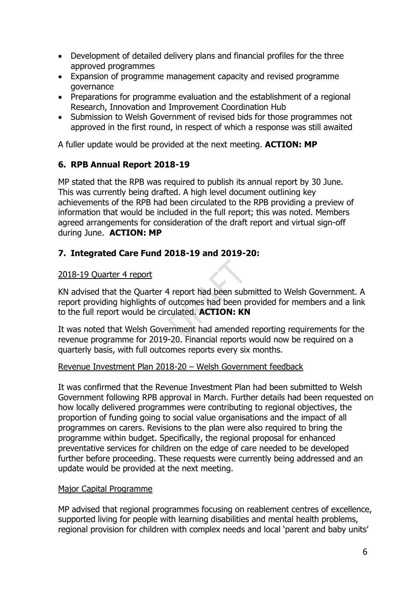- Development of detailed delivery plans and financial profiles for the three approved programmes
- Expansion of programme management capacity and revised programme governance
- Preparations for programme evaluation and the establishment of a regional Research, Innovation and Improvement Coordination Hub
- Submission to Welsh Government of revised bids for those programmes not approved in the first round, in respect of which a response was still awaited

A fuller update would be provided at the next meeting. **ACTION: MP**

## **6. RPB Annual Report 2018-19**

MP stated that the RPB was required to publish its annual report by 30 June. This was currently being drafted. A high level document outlining key achievements of the RPB had been circulated to the RPB providing a preview of information that would be included in the full report; this was noted. Members agreed arrangements for consideration of the draft report and virtual sign-off during June. **ACTION: MP**

## **7. Integrated Care Fund 2018-19 and 2019-20:**

## 2018-19 Quarter 4 report

KN advised that the Quarter 4 report had been submitted to Welsh Government. A report providing highlights of outcomes had been provided for members and a link to the full report would be circulated. **ACTION: KN**

It was noted that Welsh Government had amended reporting requirements for the revenue programme for 2019-20. Financial reports would now be required on a quarterly basis, with full outcomes reports every six months.

#### Revenue Investment Plan 2018-20 – Welsh Government feedback

It was confirmed that the Revenue Investment Plan had been submitted to Welsh Government following RPB approval in March. Further details had been requested on how locally delivered programmes were contributing to regional objectives, the proportion of funding going to social value organisations and the impact of all programmes on carers. Revisions to the plan were also required to bring the programme within budget. Specifically, the regional proposal for enhanced preventative services for children on the edge of care needed to be developed further before proceeding. These requests were currently being addressed and an update would be provided at the next meeting.

## Major Capital Programme

MP advised that regional programmes focusing on reablement centres of excellence, supported living for people with learning disabilities and mental health problems, regional provision for children with complex needs and local 'parent and baby units'